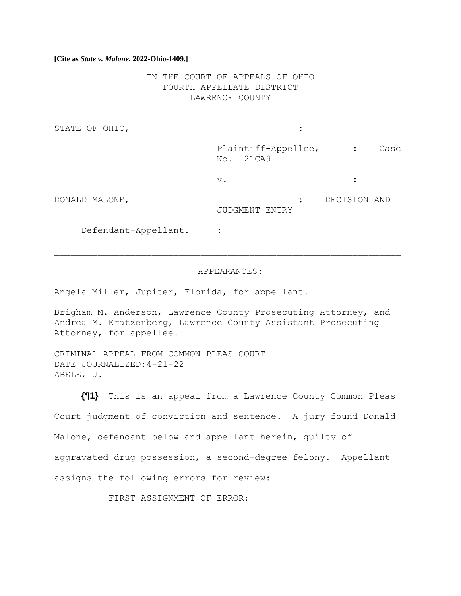### **[Cite as** *State v. Malone***, 2022-Ohio-1409.]**

IN THE COURT OF APPEALS OF OHIO FOURTH APPELLATE DISTRICT LAWRENCE COUNTY

STATE OF OHIO,  $\qquad \qquad :\qquad \qquad$ 

Plaintiff-Appellee, : Case No. 21CA9

 $\vee$ .  $\qquad \qquad$  :

DONALD MALONE, : DECISION AND JUDGMENT ENTRY

Defendant-Appellant. :

#### APPEARANCES:

Angela Miller, Jupiter, Florida, for appellant.

Brigham M. Anderson, Lawrence County Prosecuting Attorney, and Andrea M. Kratzenberg, Lawrence County Assistant Prosecuting Attorney, for appellee.

CRIMINAL APPEAL FROM COMMON PLEAS COURT DATE JOURNALIZED:4-21-22 ABELE, J.

**{¶1}** This is an appeal from a Lawrence County Common Pleas Court judgment of conviction and sentence. A jury found Donald Malone, defendant below and appellant herein, guilty of aggravated drug possession, a second-degree felony. Appellant assigns the following errors for review:

FIRST ASSIGNMENT OF ERROR: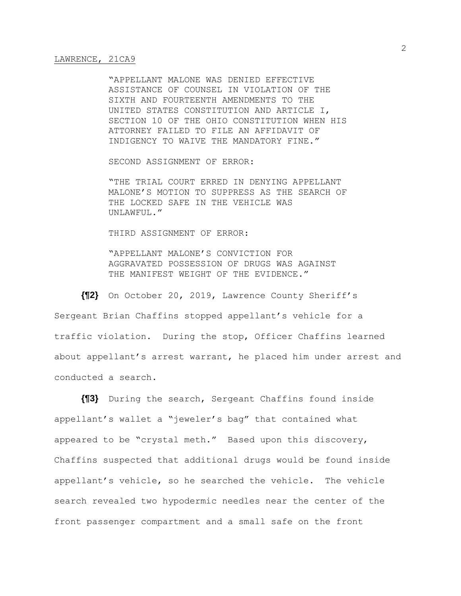"APPELLANT MALONE WAS DENIED EFFECTIVE ASSISTANCE OF COUNSEL IN VIOLATION OF THE SIXTH AND FOURTEENTH AMENDMENTS TO THE UNITED STATES CONSTITUTION AND ARTICLE I, SECTION 10 OF THE OHIO CONSTITUTION WHEN HIS ATTORNEY FAILED TO FILE AN AFFIDAVIT OF INDIGENCY TO WAIVE THE MANDATORY FINE."

SECOND ASSIGNMENT OF ERROR:

"THE TRIAL COURT ERRED IN DENYING APPELLANT MALONE'S MOTION TO SUPPRESS AS THE SEARCH OF THE LOCKED SAFE IN THE VEHICLE WAS UNLAWFUL."

THIRD ASSIGNMENT OF ERROR:

"APPELLANT MALONE'S CONVICTION FOR AGGRAVATED POSSESSION OF DRUGS WAS AGAINST THE MANIFEST WEIGHT OF THE EVIDENCE."

**{¶2}** On October 20, 2019, Lawrence County Sheriff's

Sergeant Brian Chaffins stopped appellant's vehicle for a traffic violation. During the stop, Officer Chaffins learned about appellant's arrest warrant, he placed him under arrest and conducted a search.

**{¶3}** During the search, Sergeant Chaffins found inside appellant's wallet a "jeweler's bag" that contained what appeared to be "crystal meth." Based upon this discovery, Chaffins suspected that additional drugs would be found inside appellant's vehicle, so he searched the vehicle. The vehicle search revealed two hypodermic needles near the center of the front passenger compartment and a small safe on the front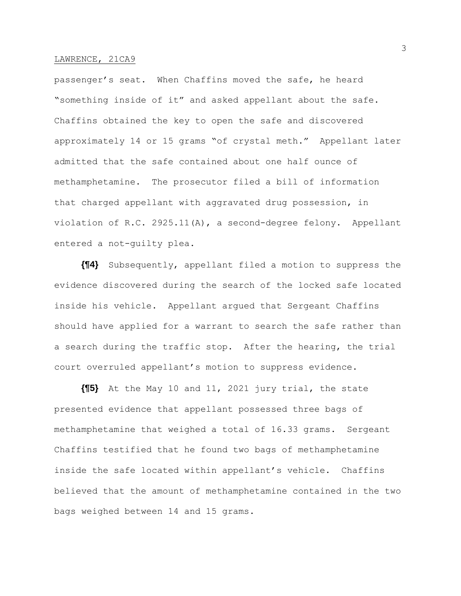passenger's seat. When Chaffins moved the safe, he heard "something inside of it" and asked appellant about the safe. Chaffins obtained the key to open the safe and discovered approximately 14 or 15 grams "of crystal meth." Appellant later admitted that the safe contained about one half ounce of methamphetamine. The prosecutor filed a bill of information that charged appellant with aggravated drug possession, in violation of R.C. 2925.11(A), a second-degree felony. Appellant entered a not-guilty plea.

**{¶4}** Subsequently, appellant filed a motion to suppress the evidence discovered during the search of the locked safe located inside his vehicle. Appellant argued that Sergeant Chaffins should have applied for a warrant to search the safe rather than a search during the traffic stop. After the hearing, the trial court overruled appellant's motion to suppress evidence.

**{¶5}** At the May 10 and 11, 2021 jury trial, the state presented evidence that appellant possessed three bags of methamphetamine that weighed a total of 16.33 grams. Sergeant Chaffins testified that he found two bags of methamphetamine inside the safe located within appellant's vehicle. Chaffins believed that the amount of methamphetamine contained in the two bags weighed between 14 and 15 grams.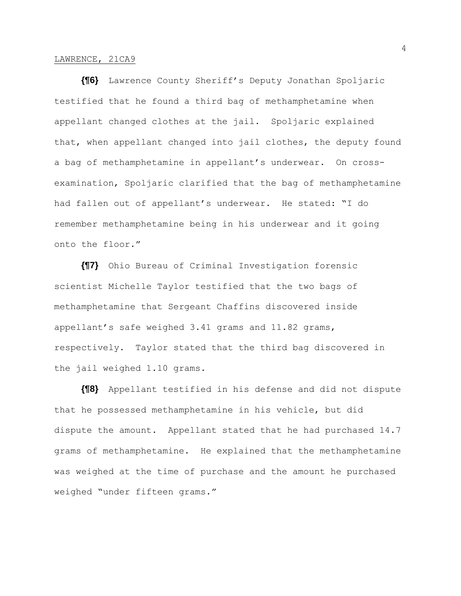**{¶6}** Lawrence County Sheriff's Deputy Jonathan Spoljaric testified that he found a third bag of methamphetamine when appellant changed clothes at the jail. Spoljaric explained that, when appellant changed into jail clothes, the deputy found a bag of methamphetamine in appellant's underwear. On crossexamination, Spoljaric clarified that the bag of methamphetamine had fallen out of appellant's underwear. He stated: "I do remember methamphetamine being in his underwear and it going onto the floor."

**{¶7}** Ohio Bureau of Criminal Investigation forensic scientist Michelle Taylor testified that the two bags of methamphetamine that Sergeant Chaffins discovered inside appellant's safe weighed 3.41 grams and 11.82 grams, respectively. Taylor stated that the third bag discovered in the jail weighed 1.10 grams.

**{¶8}** Appellant testified in his defense and did not dispute that he possessed methamphetamine in his vehicle, but did dispute the amount. Appellant stated that he had purchased 14.7 grams of methamphetamine. He explained that the methamphetamine was weighed at the time of purchase and the amount he purchased weighed "under fifteen grams."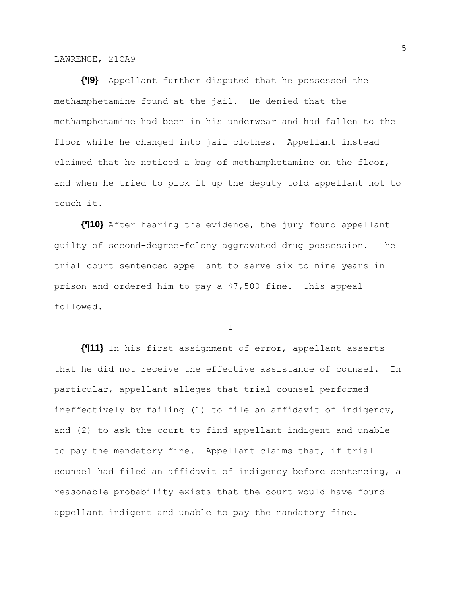**{¶9}** Appellant further disputed that he possessed the methamphetamine found at the jail. He denied that the methamphetamine had been in his underwear and had fallen to the floor while he changed into jail clothes. Appellant instead claimed that he noticed a bag of methamphetamine on the floor, and when he tried to pick it up the deputy told appellant not to touch it.

**{¶10}** After hearing the evidence, the jury found appellant guilty of second-degree-felony aggravated drug possession. The trial court sentenced appellant to serve six to nine years in prison and ordered him to pay a \$7,500 fine. This appeal followed.

I

**{¶11}** In his first assignment of error, appellant asserts that he did not receive the effective assistance of counsel. In particular, appellant alleges that trial counsel performed ineffectively by failing (1) to file an affidavit of indigency, and (2) to ask the court to find appellant indigent and unable to pay the mandatory fine. Appellant claims that, if trial counsel had filed an affidavit of indigency before sentencing, a reasonable probability exists that the court would have found appellant indigent and unable to pay the mandatory fine.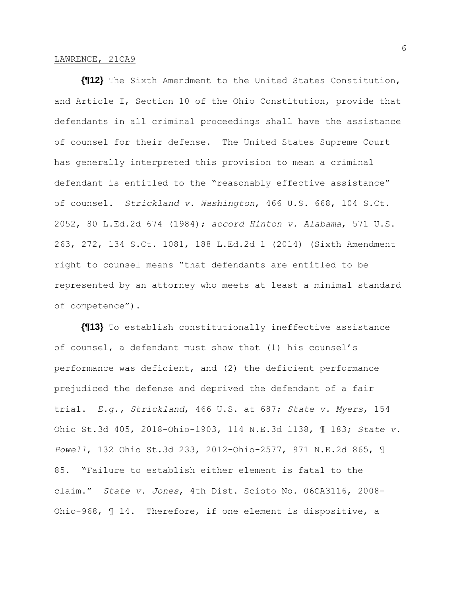**{¶12}** The Sixth Amendment to the United States Constitution, and Article I, Section 10 of the Ohio Constitution, provide that defendants in all criminal proceedings shall have the assistance of counsel for their defense. The United States Supreme Court has generally interpreted this provision to mean a criminal defendant is entitled to the "reasonably effective assistance" of counsel. *Strickland v. Washington*, 466 U.S. 668, 104 S.Ct. 2052, 80 L.Ed.2d 674 (1984); *accord Hinton v. Alabama*, 571 U.S. 263, 272, 134 S.Ct. 1081, 188 L.Ed.2d 1 (2014) (Sixth Amendment right to counsel means "that defendants are entitled to be represented by an attorney who meets at least a minimal standard of competence").

**{¶13}** To establish constitutionally ineffective assistance of counsel, a defendant must show that (1) his counsel's performance was deficient, and (2) the deficient performance prejudiced the defense and deprived the defendant of a fair trial. *E.g., Strickland*, 466 U.S. at 687; *State v. Myers*, 154 Ohio St.3d 405, 2018-Ohio-1903, 114 N.E.3d 1138, ¶ 183; *State v. Powell*, 132 Ohio St.3d 233, 2012-Ohio-2577, 971 N.E.2d 865, ¶ 85. "Failure to establish either element is fatal to the claim." *State v. Jones*, 4th Dist. Scioto No. 06CA3116, 2008- Ohio-968, ¶ 14. Therefore, if one element is dispositive, a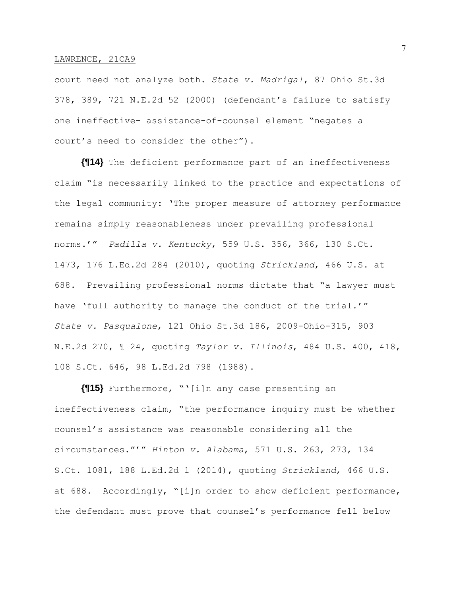court need not analyze both. *State v. Madrigal*, 87 Ohio St.3d 378, 389, 721 N.E.2d 52 (2000) (defendant's failure to satisfy one ineffective- assistance-of-counsel element "negates a court's need to consider the other").

**{¶14}** The deficient performance part of an ineffectiveness claim "is necessarily linked to the practice and expectations of the legal community: 'The proper measure of attorney performance remains simply reasonableness under prevailing professional norms.'" *Padilla v. Kentucky*, 559 U.S. 356, 366, 130 S.Ct. 1473, 176 L.Ed.2d 284 (2010), quoting *Strickland*, 466 U.S. at 688. Prevailing professional norms dictate that "a lawyer must have 'full authority to manage the conduct of the trial.'" *State v. Pasqualone*, 121 Ohio St.3d 186, 2009-Ohio-315, 903 N.E.2d 270, ¶ 24, quoting *Taylor v. Illinois*, 484 U.S. 400, 418, 108 S.Ct. 646, 98 L.Ed.2d 798 (1988).

**{¶15}** Furthermore, "'[i]n any case presenting an ineffectiveness claim, "the performance inquiry must be whether counsel's assistance was reasonable considering all the circumstances."'" *Hinton v. Alabama*, 571 U.S. 263, 273, 134 S.Ct. 1081, 188 L.Ed.2d 1 (2014), quoting *Strickland*, 466 U.S. at 688. Accordingly, "[i]n order to show deficient performance, the defendant must prove that counsel's performance fell below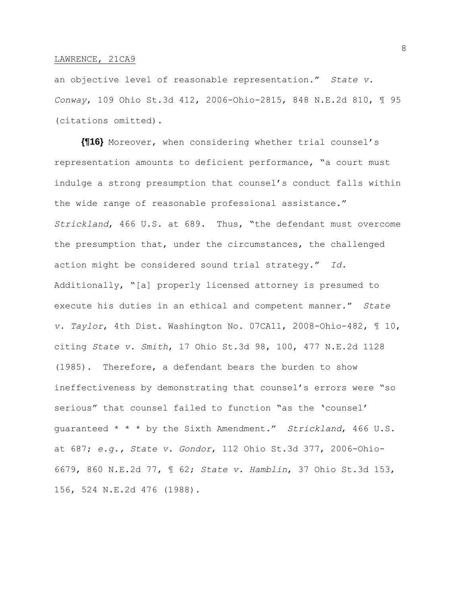an objective level of reasonable representation." *State v. Conway*, 109 Ohio St.3d 412, 2006-Ohio-2815, 848 N.E.2d 810, ¶ 95 (citations omitted).

**{¶16}** Moreover, when considering whether trial counsel's representation amounts to deficient performance, "a court must indulge a strong presumption that counsel's conduct falls within the wide range of reasonable professional assistance." *Strickland*, 466 U.S. at 689. Thus, "the defendant must overcome the presumption that, under the circumstances, the challenged action might be considered sound trial strategy." *Id.* Additionally, "[a] properly licensed attorney is presumed to execute his duties in an ethical and competent manner." *State v. Taylor*, 4th Dist. Washington No. 07CA11, 2008-Ohio-482, ¶ 10, citing *State v. Smith*, 17 Ohio St.3d 98, 100, 477 N.E.2d 1128 (1985). Therefore, a defendant bears the burden to show ineffectiveness by demonstrating that counsel's errors were "so serious" that counsel failed to function "as the 'counsel' guaranteed \* \* \* by the Sixth Amendment." *Strickland*, 466 U.S. at 687; *e.g., State v. Gondor*, 112 Ohio St.3d 377, 2006-Ohio-6679, 860 N.E.2d 77, ¶ 62; *State v. Hamblin*, 37 Ohio St.3d 153, 156, 524 N.E.2d 476 (1988).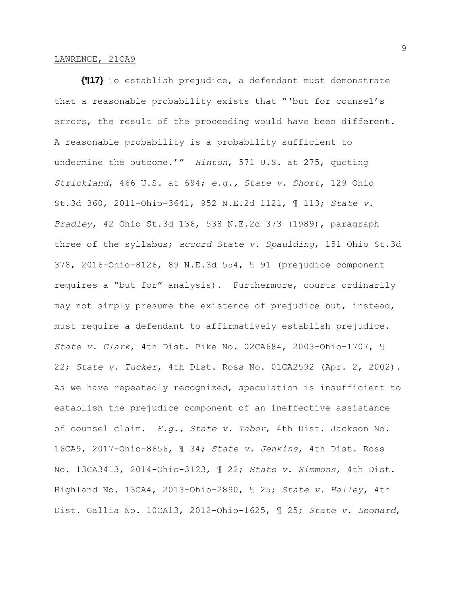**{¶17}** To establish prejudice, a defendant must demonstrate that a reasonable probability exists that "'but for counsel's errors, the result of the proceeding would have been different. A reasonable probability is a probability sufficient to undermine the outcome.'" *Hinton*, 571 U.S. at 275, quoting *Strickland*, 466 U.S. at 694; *e.g., State v. Short*, 129 Ohio St.3d 360, 2011-Ohio-3641, 952 N.E.2d 1121, ¶ 113; *State v. Bradley*, 42 Ohio St.3d 136, 538 N.E.2d 373 (1989), paragraph three of the syllabus; *accord State v. Spaulding*, 151 Ohio St.3d 378, 2016-Ohio-8126, 89 N.E.3d 554, ¶ 91 (prejudice component requires a "but for" analysis). Furthermore, courts ordinarily may not simply presume the existence of prejudice but, instead, must require a defendant to affirmatively establish prejudice. *State v. Clark*, 4th Dist. Pike No. 02CA684, 2003-Ohio-1707, ¶ 22; *State v. Tucker*, 4th Dist. Ross No. 01CA2592 (Apr. 2, 2002). As we have repeatedly recognized, speculation is insufficient to establish the prejudice component of an ineffective assistance of counsel claim. *E.g., State v. Tabor*, 4th Dist. Jackson No. 16CA9, 2017-Ohio-8656, ¶ 34; *State v. Jenkins*, 4th Dist. Ross No. 13CA3413, 2014-Ohio-3123, ¶ 22; *State v. Simmons*, 4th Dist. Highland No. 13CA4, 2013-Ohio-2890, ¶ 25; *State v. Halley*, 4th Dist. Gallia No. 10CA13, 2012-Ohio-1625, ¶ 25; *State v. Leonard*,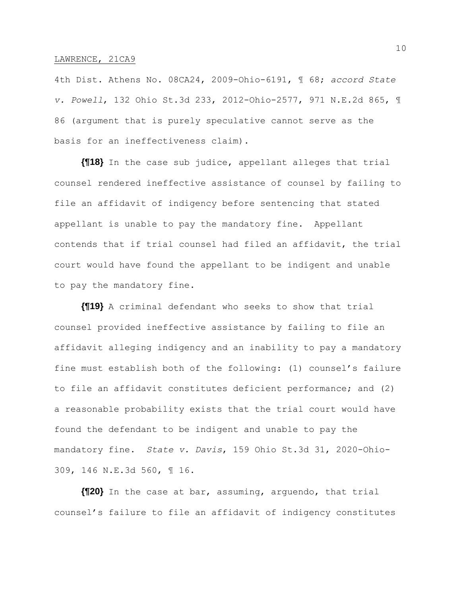4th Dist. Athens No. 08CA24, 2009-Ohio-6191, ¶ 68; *accord State v. Powell*, 132 Ohio St.3d 233, 2012-Ohio-2577, 971 N.E.2d 865, ¶ 86 (argument that is purely speculative cannot serve as the basis for an ineffectiveness claim).

**{¶18}** In the case sub judice, appellant alleges that trial counsel rendered ineffective assistance of counsel by failing to file an affidavit of indigency before sentencing that stated appellant is unable to pay the mandatory fine. Appellant contends that if trial counsel had filed an affidavit, the trial court would have found the appellant to be indigent and unable to pay the mandatory fine.

**{¶19}** A criminal defendant who seeks to show that trial counsel provided ineffective assistance by failing to file an affidavit alleging indigency and an inability to pay a mandatory fine must establish both of the following: (1) counsel's failure to file an affidavit constitutes deficient performance; and (2) a reasonable probability exists that the trial court would have found the defendant to be indigent and unable to pay the mandatory fine. *State v. Davis*, 159 Ohio St.3d 31, 2020-Ohio-309, 146 N.E.3d 560, ¶ 16.

**{¶20}** In the case at bar, assuming, arguendo, that trial counsel's failure to file an affidavit of indigency constitutes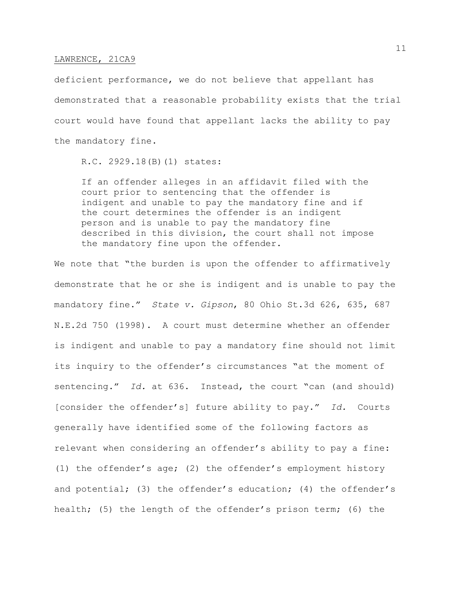deficient performance, we do not believe that appellant has demonstrated that a reasonable probability exists that the trial court would have found that appellant lacks the ability to pay the mandatory fine.

R.C. 2929.18(B)(1) states:

If an offender alleges in an affidavit filed with the court prior to sentencing that the offender is indigent and unable to pay the mandatory fine and if the court determines the offender is an indigent person and is unable to pay the mandatory fine described in this division, the court shall not impose the mandatory fine upon the offender.

We note that "the burden is upon the offender to affirmatively demonstrate that he or she is indigent and is unable to pay the mandatory fine." *State v. Gipson*, 80 Ohio St.3d 626, 635, 687 N.E.2d 750 (1998). A court must determine whether an offender is indigent and unable to pay a mandatory fine should not limit its inquiry to the offender's circumstances "at the moment of sentencing." *Id.* at 636. Instead, the court "can (and should) [consider the offender's] future ability to pay." *Id.* Courts generally have identified some of the following factors as relevant when considering an offender's ability to pay a fine: (1) the offender's age; (2) the offender's employment history and potential; (3) the offender's education; (4) the offender's health; (5) the length of the offender's prison term; (6) the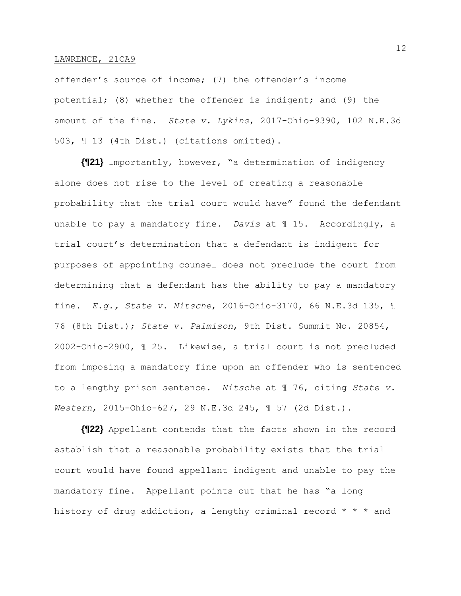offender's source of income; (7) the offender's income potential; (8) whether the offender is indigent; and (9) the amount of the fine. *State v. Lykins*, 2017-Ohio-9390, 102 N.E.3d 503, ¶ 13 (4th Dist.) (citations omitted).

**{¶21}** Importantly, however, "a determination of indigency alone does not rise to the level of creating a reasonable probability that the trial court would have" found the defendant unable to pay a mandatory fine. *Davis* at ¶ 15. Accordingly, a trial court's determination that a defendant is indigent for purposes of appointing counsel does not preclude the court from determining that a defendant has the ability to pay a mandatory fine. *E.g., State v. Nitsche*, 2016-Ohio-3170, 66 N.E.3d 135, ¶ 76 (8th Dist.); *State v. Palmison*, 9th Dist. Summit No. 20854, 2002-Ohio-2900, ¶ 25. Likewise, a trial court is not precluded from imposing a mandatory fine upon an offender who is sentenced to a lengthy prison sentence. *Nitsche* at ¶ 76, citing *State v. Western*, 2015-Ohio-627, 29 N.E.3d 245, ¶ 57 (2d Dist.).

**{¶22}** Appellant contends that the facts shown in the record establish that a reasonable probability exists that the trial court would have found appellant indigent and unable to pay the mandatory fine. Appellant points out that he has "a long history of drug addiction, a lengthy criminal record  $* * *$  and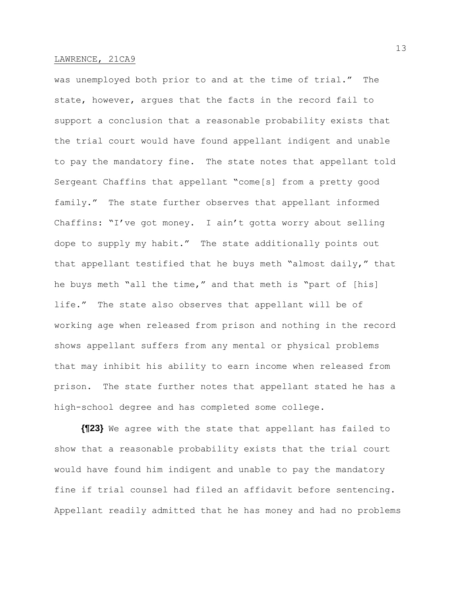was unemployed both prior to and at the time of trial." The state, however, argues that the facts in the record fail to support a conclusion that a reasonable probability exists that the trial court would have found appellant indigent and unable to pay the mandatory fine. The state notes that appellant told Sergeant Chaffins that appellant "come[s] from a pretty good family." The state further observes that appellant informed Chaffins: "I've got money. I ain't gotta worry about selling dope to supply my habit." The state additionally points out that appellant testified that he buys meth "almost daily," that he buys meth "all the time," and that meth is "part of [his] life." The state also observes that appellant will be of working age when released from prison and nothing in the record shows appellant suffers from any mental or physical problems that may inhibit his ability to earn income when released from prison. The state further notes that appellant stated he has a high-school degree and has completed some college.

**{¶23}** We agree with the state that appellant has failed to show that a reasonable probability exists that the trial court would have found him indigent and unable to pay the mandatory fine if trial counsel had filed an affidavit before sentencing. Appellant readily admitted that he has money and had no problems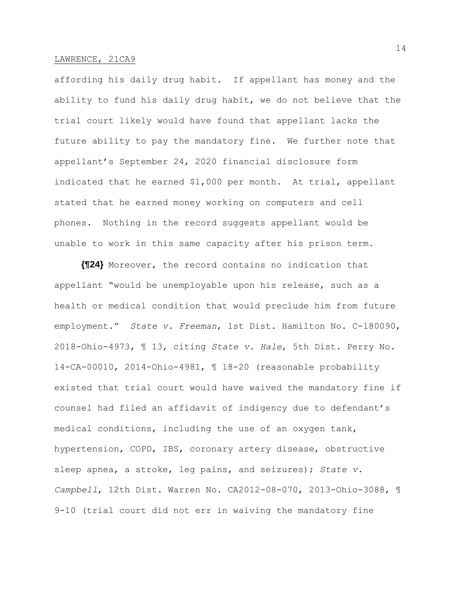affording his daily drug habit. If appellant has money and the ability to fund his daily drug habit, we do not believe that the trial court likely would have found that appellant lacks the future ability to pay the mandatory fine. We further note that appellant's September 24, 2020 financial disclosure form indicated that he earned \$1,000 per month. At trial, appellant stated that he earned money working on computers and cell phones. Nothing in the record suggests appellant would be unable to work in this same capacity after his prison term.

**{¶24}** Moreover, the record contains no indication that appellant "would be unemployable upon his release, such as a health or medical condition that would preclude him from future employment." *State v. Freeman*, 1st Dist. Hamilton No. C-180090, 2018-Ohio-4973, ¶ 13, citing *State v. Hale*, 5th Dist. Perry No. 14-CA-00010, 2014-Ohio-4981, ¶ 18-20 (reasonable probability existed that trial court would have waived the mandatory fine if counsel had filed an affidavit of indigency due to defendant's medical conditions, including the use of an oxygen tank, hypertension, COPD, IBS, coronary artery disease, obstructive sleep apnea, a stroke, leg pains, and seizures); *State v. Campbell*, 12th Dist. Warren No. CA2012-08-070, 2013-Ohio-3088, ¶ 9-10 (trial court did not err in waiving the mandatory fine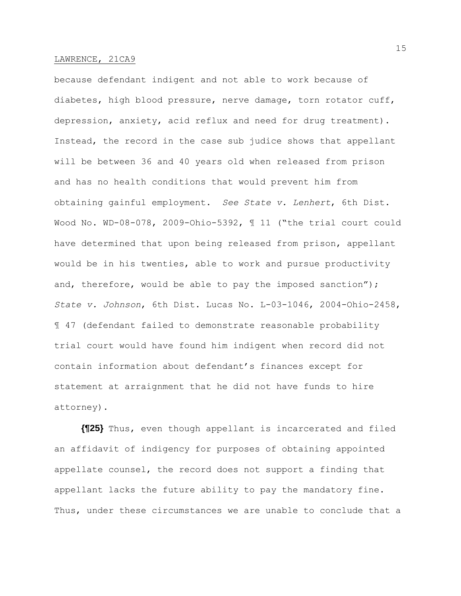because defendant indigent and not able to work because of diabetes, high blood pressure, nerve damage, torn rotator cuff, depression, anxiety, acid reflux and need for drug treatment). Instead, the record in the case sub judice shows that appellant will be between 36 and 40 years old when released from prison and has no health conditions that would prevent him from obtaining gainful employment. *See State v. Lenhert*, 6th Dist. Wood No. WD-08-078, 2009-Ohio-5392, ¶ 11 ("the trial court could have determined that upon being released from prison, appellant would be in his twenties, able to work and pursue productivity and, therefore, would be able to pay the imposed sanction"); *State v. Johnson*, 6th Dist. Lucas No. L-03-1046, 2004-Ohio-2458, ¶ 47 (defendant failed to demonstrate reasonable probability trial court would have found him indigent when record did not contain information about defendant's finances except for statement at arraignment that he did not have funds to hire attorney).

**{¶25}** Thus, even though appellant is incarcerated and filed an affidavit of indigency for purposes of obtaining appointed appellate counsel, the record does not support a finding that appellant lacks the future ability to pay the mandatory fine. Thus, under these circumstances we are unable to conclude that a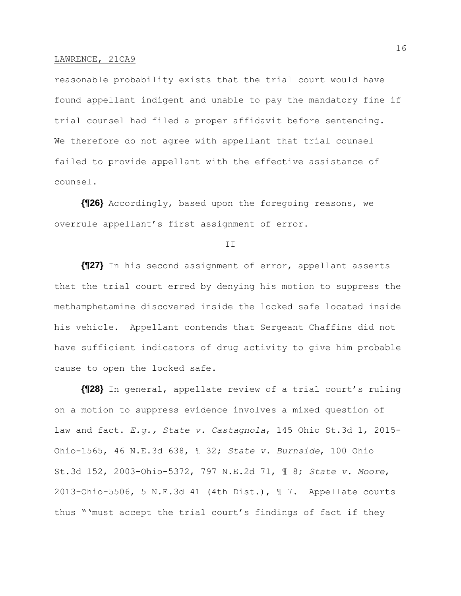reasonable probability exists that the trial court would have found appellant indigent and unable to pay the mandatory fine if trial counsel had filed a proper affidavit before sentencing. We therefore do not agree with appellant that trial counsel failed to provide appellant with the effective assistance of counsel.

**{¶26}** Accordingly, based upon the foregoing reasons, we overrule appellant's first assignment of error.

II

**{¶27}** In his second assignment of error, appellant asserts that the trial court erred by denying his motion to suppress the methamphetamine discovered inside the locked safe located inside his vehicle. Appellant contends that Sergeant Chaffins did not have sufficient indicators of drug activity to give him probable cause to open the locked safe.

**{¶28}** In general, appellate review of a trial court's ruling on a motion to suppress evidence involves a mixed question of law and fact. *E.g., State v. Castagnola*, 145 Ohio St.3d 1, 2015- Ohio-1565, 46 N.E.3d 638, ¶ 32; *State v. Burnside*, 100 Ohio St.3d 152, 2003-Ohio-5372, 797 N.E.2d 71, ¶ 8; *State v. Moore*, 2013-Ohio-5506, 5 N.E.3d 41 (4th Dist.), ¶ 7. Appellate courts thus "'must accept the trial court's findings of fact if they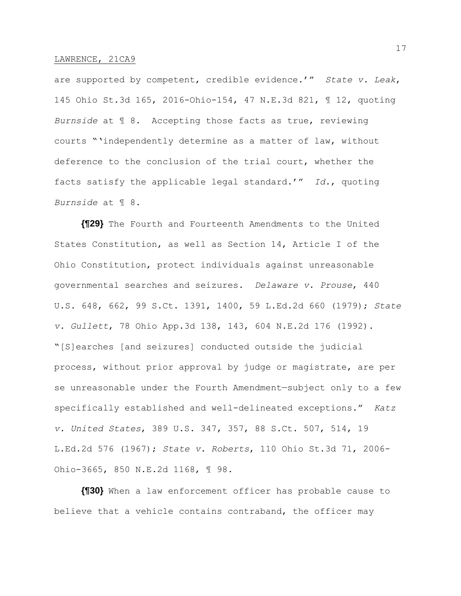are supported by competent, credible evidence.'" *State v. Leak*, 145 Ohio St.3d 165, 2016-Ohio-154, 47 N.E.3d 821, ¶ 12, quoting *Burnside* at ¶ 8. Accepting those facts as true, reviewing courts "'independently determine as a matter of law, without deference to the conclusion of the trial court, whether the facts satisfy the applicable legal standard.'" *Id.*, quoting *Burnside* at ¶ 8.

**{¶29}** The Fourth and Fourteenth Amendments to the United States Constitution, as well as Section 14, Article I of the Ohio Constitution, protect individuals against unreasonable governmental searches and seizures. *Delaware v. Prouse*, 440 U.S. 648, 662, 99 S.Ct. 1391, 1400, 59 L.Ed.2d 660 (1979); *State v. Gullett*, 78 Ohio App.3d 138, 143, 604 N.E.2d 176 (1992). "[S]earches [and seizures] conducted outside the judicial process, without prior approval by judge or magistrate, are per se unreasonable under the Fourth Amendment—subject only to a few specifically established and well-delineated exceptions." *Katz v. United States*, 389 U.S. 347, 357, 88 S.Ct. 507, 514, 19 L.Ed.2d 576 (1967); *State v. Roberts*, 110 Ohio St.3d 71, 2006- Ohio-3665, 850 N.E.2d 1168, ¶ 98.

**{¶30}** When a law enforcement officer has probable cause to believe that a vehicle contains contraband, the officer may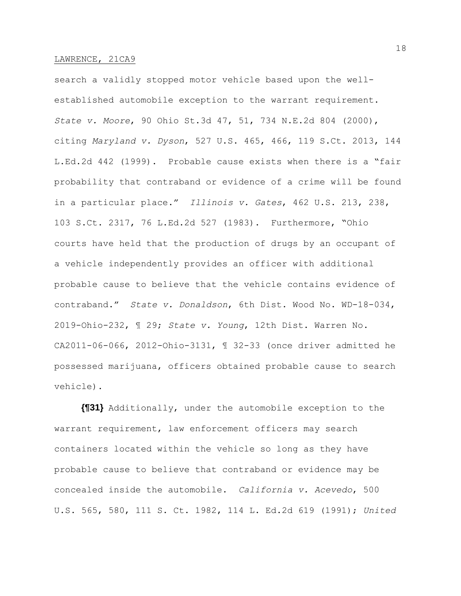search a validly stopped motor vehicle based upon the wellestablished automobile exception to the warrant requirement. *State v. Moore*, 90 Ohio St.3d 47, 51, 734 N.E.2d 804 (2000), citing *Maryland v. Dyson*, 527 U.S. 465, 466, 119 S.Ct. 2013, 144 L.Ed.2d 442 (1999). Probable cause exists when there is a "fair probability that contraband or evidence of a crime will be found in a particular place." *Illinois v. Gates*, 462 U.S. 213, 238, 103 S.Ct. 2317, 76 L.Ed.2d 527 (1983). Furthermore, "Ohio courts have held that the production of drugs by an occupant of a vehicle independently provides an officer with additional probable cause to believe that the vehicle contains evidence of contraband." *State v. Donaldson*, 6th Dist. Wood No. WD-18-034, 2019-Ohio-232, ¶ 29; *State v. Young*, 12th Dist. Warren No. CA2011-06-066, 2012-Ohio-3131, ¶ 32-33 (once driver admitted he possessed marijuana, officers obtained probable cause to search vehicle).

**{¶31}** Additionally, under the automobile exception to the warrant requirement, law enforcement officers may search containers located within the vehicle so long as they have probable cause to believe that contraband or evidence may be concealed inside the automobile. *California v. Acevedo*, 500 U.S. 565, 580, 111 S. Ct. 1982, 114 L. Ed.2d 619 (1991); *United*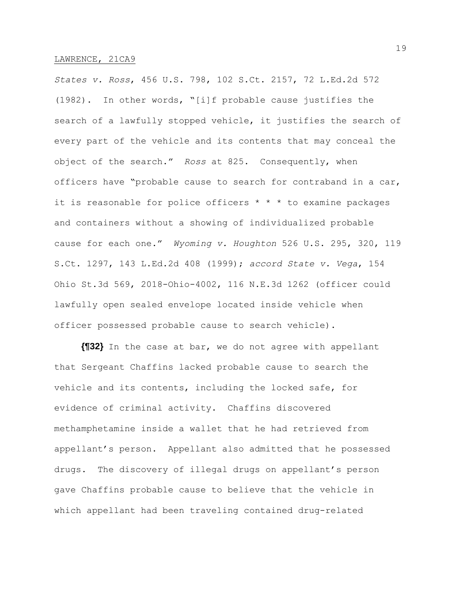*States v. Ross*, 456 U.S. 798, 102 S.Ct. 2157, 72 L.Ed.2d 572 (1982). In other words, "[i]f probable cause justifies the search of a lawfully stopped vehicle, it justifies the search of every part of the vehicle and its contents that may conceal the object of the search." *Ross* at 825. Consequently, when officers have "probable cause to search for contraband in a car, it is reasonable for police officers  $* * *$  to examine packages and containers without a showing of individualized probable cause for each one." *Wyoming v. Houghton* 526 U.S. 295, 320, 119 S.Ct. 1297, 143 L.Ed.2d 408 (1999); *accord State v. Vega*, 154 Ohio St.3d 569, 2018-Ohio-4002, 116 N.E.3d 1262 (officer could lawfully open sealed envelope located inside vehicle when officer possessed probable cause to search vehicle).

**{¶32}** In the case at bar, we do not agree with appellant that Sergeant Chaffins lacked probable cause to search the vehicle and its contents, including the locked safe, for evidence of criminal activity. Chaffins discovered methamphetamine inside a wallet that he had retrieved from appellant's person. Appellant also admitted that he possessed drugs. The discovery of illegal drugs on appellant's person gave Chaffins probable cause to believe that the vehicle in which appellant had been traveling contained drug-related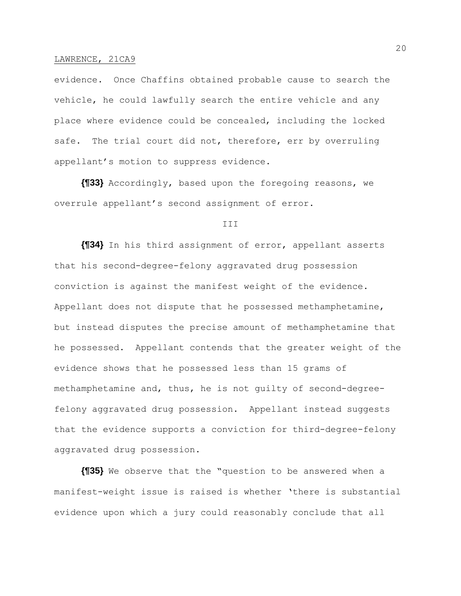evidence. Once Chaffins obtained probable cause to search the vehicle, he could lawfully search the entire vehicle and any place where evidence could be concealed, including the locked safe. The trial court did not, therefore, err by overruling appellant's motion to suppress evidence.

**{¶33}** Accordingly, based upon the foregoing reasons, we overrule appellant's second assignment of error.

### III

**{¶34}** In his third assignment of error, appellant asserts that his second-degree-felony aggravated drug possession conviction is against the manifest weight of the evidence. Appellant does not dispute that he possessed methamphetamine, but instead disputes the precise amount of methamphetamine that he possessed. Appellant contends that the greater weight of the evidence shows that he possessed less than 15 grams of methamphetamine and, thus, he is not guilty of second-degreefelony aggravated drug possession. Appellant instead suggests that the evidence supports a conviction for third-degree-felony aggravated drug possession.

**{¶35}** We observe that the "question to be answered when a manifest-weight issue is raised is whether 'there is substantial evidence upon which a jury could reasonably conclude that all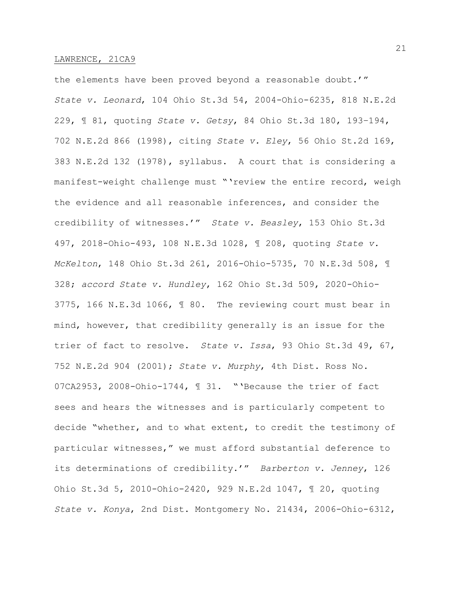the elements have been proved beyond a reasonable doubt.'" *State v. Leonard*, 104 Ohio St.3d 54, 2004-Ohio-6235, 818 N.E.2d 229, ¶ 81, quoting *State v. Getsy*, 84 Ohio St.3d 180, 193–194, 702 N.E.2d 866 (1998), citing *State v. Eley*, 56 Ohio St.2d 169, 383 N.E.2d 132 (1978), syllabus. A court that is considering a manifest-weight challenge must "'review the entire record, weigh the evidence and all reasonable inferences, and consider the credibility of witnesses.'" *State v. Beasley*, 153 Ohio St.3d 497, 2018-Ohio-493, 108 N.E.3d 1028, ¶ 208, quoting *State v. McKelton*, 148 Ohio St.3d 261, 2016-Ohio-5735, 70 N.E.3d 508, ¶ 328; *accord State v. Hundley*, 162 Ohio St.3d 509, 2020-Ohio-3775, 166 N.E.3d 1066, ¶ 80. The reviewing court must bear in mind, however, that credibility generally is an issue for the trier of fact to resolve. *State v. Issa*, 93 Ohio St.3d 49, 67, 752 N.E.2d 904 (2001); *State v. Murphy*, 4th Dist. Ross No. 07CA2953, 2008-Ohio-1744, ¶ 31. "'Because the trier of fact sees and hears the witnesses and is particularly competent to decide "whether, and to what extent, to credit the testimony of particular witnesses," we must afford substantial deference to its determinations of credibility.'" *Barberton v. Jenney*, 126 Ohio St.3d 5, 2010-Ohio-2420, 929 N.E.2d 1047, ¶ 20, quoting *State v. Konya*, 2nd Dist. Montgomery No. 21434, 2006-Ohio-6312,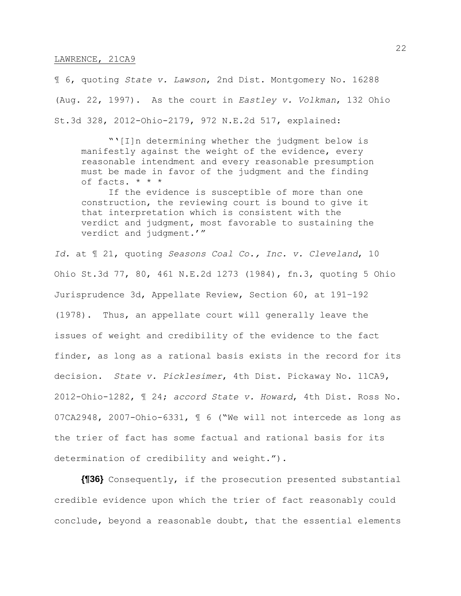¶ 6, quoting *State v. Lawson*, 2nd Dist. Montgomery No. 16288 (Aug. 22, 1997). As the court in *Eastley v. Volkman*, 132 Ohio St.3d 328, 2012-Ohio-2179, 972 N.E.2d 517, explained:

"'[I]n determining whether the judgment below is manifestly against the weight of the evidence, every reasonable intendment and every reasonable presumption must be made in favor of the judgment and the finding of facts. \* \* \*

If the evidence is susceptible of more than one construction, the reviewing court is bound to give it that interpretation which is consistent with the verdict and judgment, most favorable to sustaining the verdict and judgment.'"

*Id.* at ¶ 21, quoting *Seasons Coal Co., Inc. v. Cleveland*, 10 Ohio St.3d 77, 80, 461 N.E.2d 1273 (1984), fn.3, quoting 5 Ohio Jurisprudence 3d, Appellate Review, Section 60, at 191–192 (1978). Thus, an appellate court will generally leave the issues of weight and credibility of the evidence to the fact finder, as long as a rational basis exists in the record for its decision. *State v. Picklesimer*, 4th Dist. Pickaway No. 11CA9, 2012-Ohio-1282, ¶ 24; *accord State v. Howard*, 4th Dist. Ross No. 07CA2948, 2007-Ohio-6331, ¶ 6 ("We will not intercede as long as the trier of fact has some factual and rational basis for its determination of credibility and weight.").

**{¶36}** Consequently, if the prosecution presented substantial credible evidence upon which the trier of fact reasonably could conclude, beyond a reasonable doubt, that the essential elements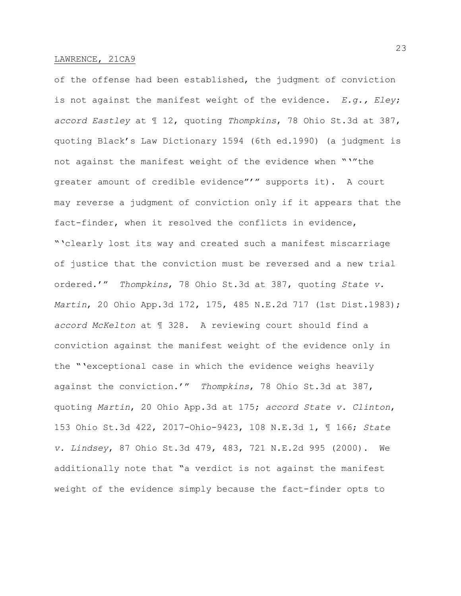of the offense had been established, the judgment of conviction is not against the manifest weight of the evidence. *E.g., Eley*; *accord Eastley* at ¶ 12, quoting *Thompkins*, 78 Ohio St.3d at 387, quoting Black's Law Dictionary 1594 (6th ed.1990) (a judgment is not against the manifest weight of the evidence when "'"the greater amount of credible evidence"'" supports it). A court may reverse a judgment of conviction only if it appears that the fact-finder, when it resolved the conflicts in evidence, "'clearly lost its way and created such a manifest miscarriage of justice that the conviction must be reversed and a new trial ordered.'" *Thompkins*, 78 Ohio St.3d at 387, quoting *State v. Martin*, 20 Ohio App.3d 172, 175, 485 N.E.2d 717 (1st Dist.1983); *accord McKelton* at ¶ 328. A reviewing court should find a conviction against the manifest weight of the evidence only in the "'exceptional case in which the evidence weighs heavily against the conviction.'" *Thompkins*, 78 Ohio St.3d at 387, quoting *Martin*, 20 Ohio App.3d at 175; *accord State v. Clinton*, 153 Ohio St.3d 422, 2017-Ohio-9423, 108 N.E.3d 1, ¶ 166; *State v. Lindsey*, 87 Ohio St.3d 479, 483, 721 N.E.2d 995 (2000). We additionally note that "a verdict is not against the manifest weight of the evidence simply because the fact-finder opts to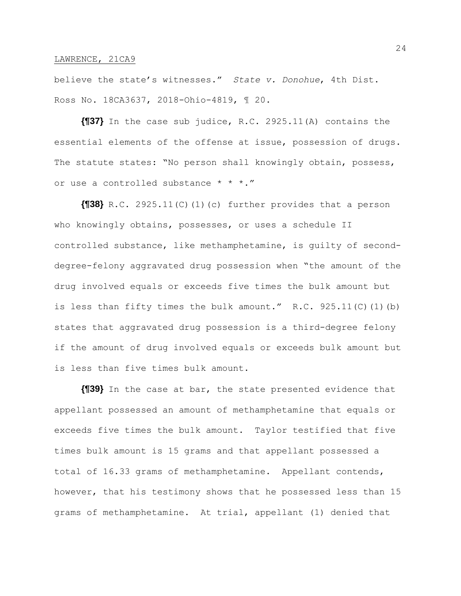believe the state's witnesses." *State v. Donohue*, 4th Dist. Ross No. 18CA3637, 2018-Ohio-4819, ¶ 20.

**{¶37}** In the case sub judice, R.C. 2925.11(A) contains the essential elements of the offense at issue, possession of drugs. The statute states: "No person shall knowingly obtain, possess, or use a controlled substance \* \* \*."

**{¶38}** R.C. 2925.11(C)(1)(c) further provides that a person who knowingly obtains, possesses, or uses a schedule II controlled substance, like methamphetamine, is guilty of seconddegree-felony aggravated drug possession when "the amount of the drug involved equals or exceeds five times the bulk amount but is less than fifty times the bulk amount." R.C. 925.11(C)(1)(b) states that aggravated drug possession is a third-degree felony if the amount of drug involved equals or exceeds bulk amount but is less than five times bulk amount.

**{¶39}** In the case at bar, the state presented evidence that appellant possessed an amount of methamphetamine that equals or exceeds five times the bulk amount. Taylor testified that five times bulk amount is 15 grams and that appellant possessed a total of 16.33 grams of methamphetamine. Appellant contends, however, that his testimony shows that he possessed less than 15 grams of methamphetamine. At trial, appellant (1) denied that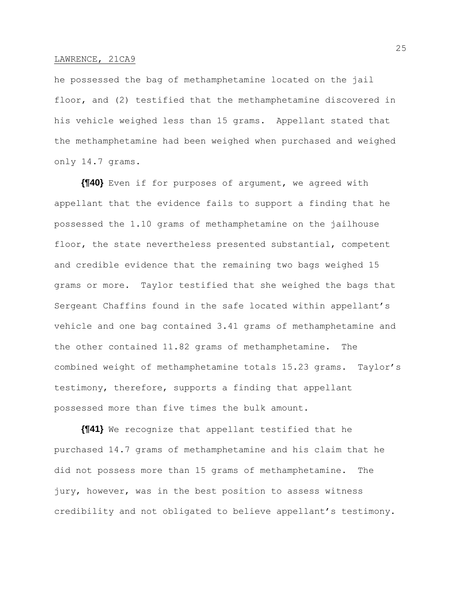he possessed the bag of methamphetamine located on the jail floor, and (2) testified that the methamphetamine discovered in his vehicle weighed less than 15 grams. Appellant stated that the methamphetamine had been weighed when purchased and weighed only 14.7 grams.

**{¶40}** Even if for purposes of argument, we agreed with appellant that the evidence fails to support a finding that he possessed the 1.10 grams of methamphetamine on the jailhouse floor, the state nevertheless presented substantial, competent and credible evidence that the remaining two bags weighed 15 grams or more. Taylor testified that she weighed the bags that Sergeant Chaffins found in the safe located within appellant's vehicle and one bag contained 3.41 grams of methamphetamine and the other contained 11.82 grams of methamphetamine. The combined weight of methamphetamine totals 15.23 grams. Taylor's testimony, therefore, supports a finding that appellant possessed more than five times the bulk amount.

**{¶41}** We recognize that appellant testified that he purchased 14.7 grams of methamphetamine and his claim that he did not possess more than 15 grams of methamphetamine. The jury, however, was in the best position to assess witness credibility and not obligated to believe appellant's testimony.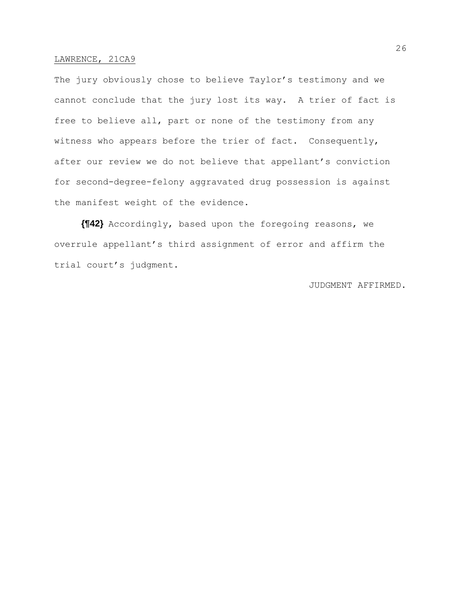The jury obviously chose to believe Taylor's testimony and we cannot conclude that the jury lost its way. A trier of fact is free to believe all, part or none of the testimony from any witness who appears before the trier of fact. Consequently, after our review we do not believe that appellant's conviction for second-degree-felony aggravated drug possession is against the manifest weight of the evidence.

**{¶42}** Accordingly, based upon the foregoing reasons, we overrule appellant's third assignment of error and affirm the trial court's judgment.

# JUDGMENT AFFIRMED.